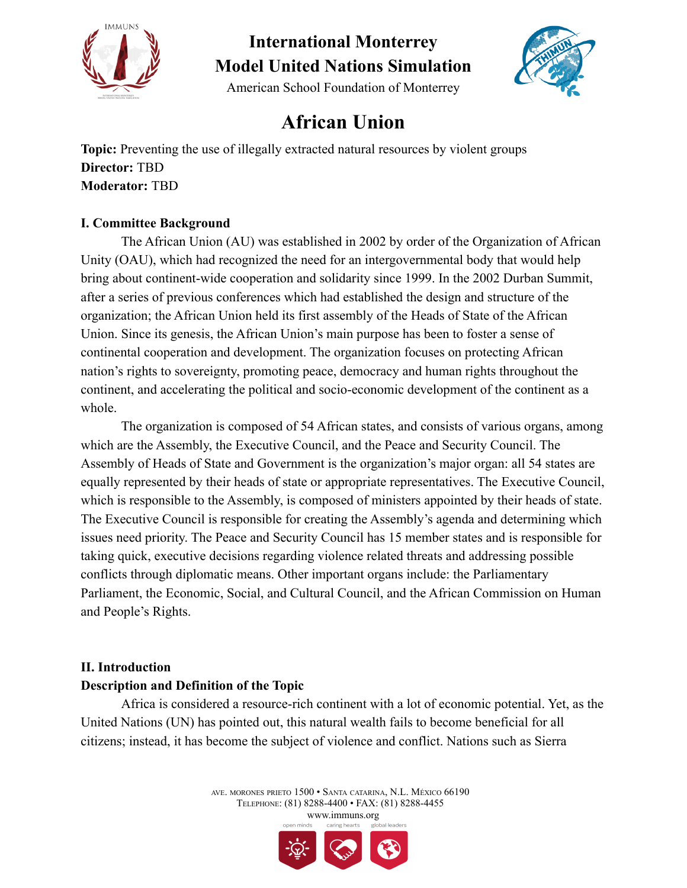



American School Foundation of Monterrey

### **African Union**

**Topic:** Preventing the use of illegally extracted natural resources by violent groups **Director:** TBD **Moderator:** TBD

### **I. Committee Background**

The African Union (AU) was established in 2002 by order of the Organization of African Unity (OAU), which had recognized the need for an intergovernmental body that would help bring about continent-wide cooperation and solidarity since 1999. In the 2002 Durban Summit, after a series of previous conferences which had established the design and structure of the organization; the African Union held its first assembly of the Heads of State of the African Union. Since its genesis, the African Union's main purpose has been to foster a sense of continental cooperation and development. The organization focuses on protecting African nation's rights to sovereignty, promoting peace, democracy and human rights throughout the continent, and accelerating the political and socio-economic development of the continent as a whole.

The organization is composed of 54 African states, and consists of various organs, among which are the Assembly, the Executive Council, and the Peace and Security Council. The Assembly of Heads of State and Government is the organization's major organ: all 54 states are equally represented by their heads of state or appropriate representatives. The Executive Council, which is responsible to the Assembly, is composed of ministers appointed by their heads of state. The Executive Council is responsible for creating the Assembly's agenda and determining which issues need priority. The Peace and Security Council has 15 member states and is responsible for taking quick, executive decisions regarding violence related threats and addressing possible conflicts through diplomatic means. Other important organs include: the Parliamentary Parliament, the Economic, Social, and Cultural Council, and the African Commission on Human and People's Rights.

### **II. Introduction**

### **Description and Definition of the Topic**

Africa is considered a resource-rich continent with a lot of economic potential. Yet, as the United Nations (UN) has pointed out, this natural wealth fails to become beneficial for all citizens; instead, it has become the subject of violence and conflict. Nations such as Sierra

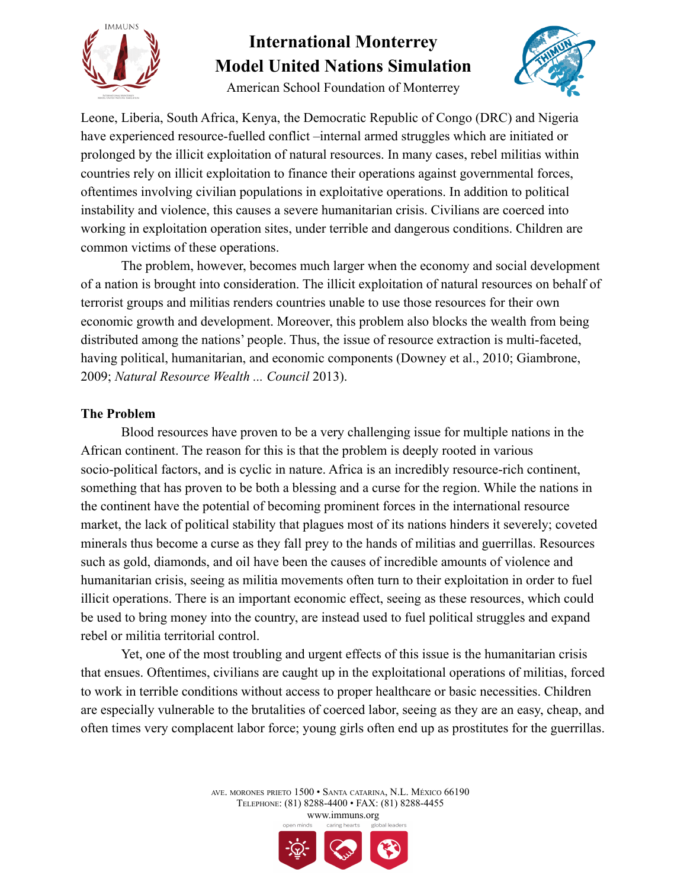

American School Foundation of Monterrey



Leone, Liberia, South Africa, Kenya, the Democratic Republic of Congo (DRC) and Nigeria have experienced resource-fuelled conflict –internal armed struggles which are initiated or prolonged by the illicit exploitation of natural resources. In many cases, rebel militias within countries rely on illicit exploitation to finance their operations against governmental forces, oftentimes involving civilian populations in exploitative operations. In addition to political instability and violence, this causes a severe humanitarian crisis. Civilians are coerced into working in exploitation operation sites, under terrible and dangerous conditions. Children are common victims of these operations.

The problem, however, becomes much larger when the economy and social development of a nation is brought into consideration. The illicit exploitation of natural resources on behalf of terrorist groups and militias renders countries unable to use those resources for their own economic growth and development. Moreover, this problem also blocks the wealth from being distributed among the nations' people. Thus, the issue of resource extraction is multi-faceted, having political, humanitarian, and economic components (Downey et al., 2010; Giambrone, 2009; *Natural Resource Wealth ... Council* 2013).

#### **The Problem**

Blood resources have proven to be a very challenging issue for multiple nations in the African continent. The reason for this is that the problem is deeply rooted in various socio-political factors, and is cyclic in nature. Africa is an incredibly resource-rich continent, something that has proven to be both a blessing and a curse for the region. While the nations in the continent have the potential of becoming prominent forces in the international resource market, the lack of political stability that plagues most of its nations hinders it severely; coveted minerals thus become a curse as they fall prey to the hands of militias and guerrillas. Resources such as gold, diamonds, and oil have been the causes of incredible amounts of violence and humanitarian crisis, seeing as militia movements often turn to their exploitation in order to fuel illicit operations. There is an important economic effect, seeing as these resources, which could be used to bring money into the country, are instead used to fuel political struggles and expand rebel or militia territorial control.

Yet, one of the most troubling and urgent effects of this issue is the humanitarian crisis that ensues. Oftentimes, civilians are caught up in the exploitational operations of militias, forced to work in terrible conditions without access to proper healthcare or basic necessities. Children are especially vulnerable to the brutalities of coerced labor, seeing as they are an easy, cheap, and often times very complacent labor force; young girls often end up as prostitutes for the guerrillas.

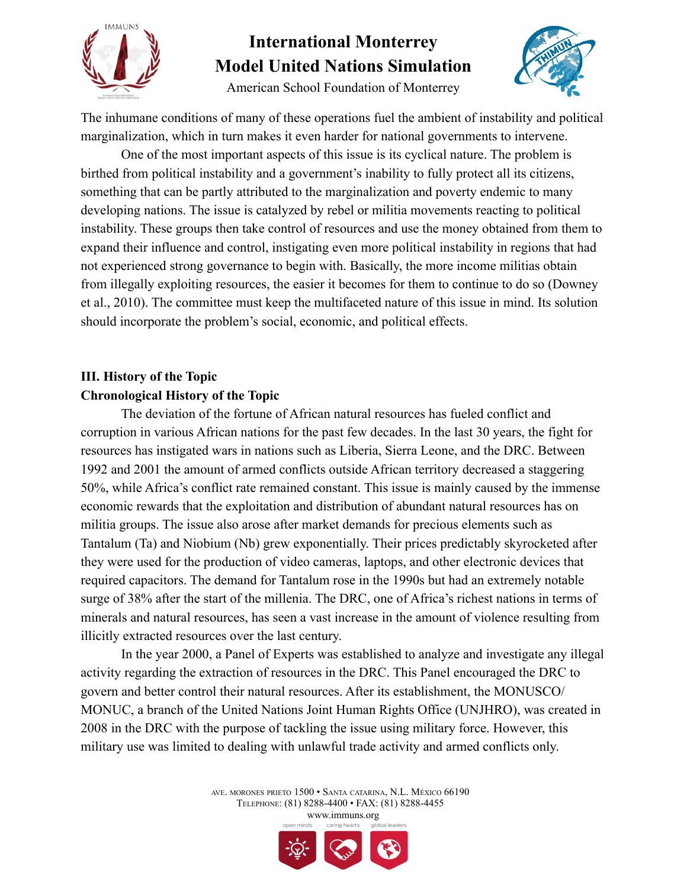

American School Foundation of Monterrey



The inhumane conditions of many of these operations fuel the ambient of instability and political marginalization, which in turn makes it even harder for national governments to intervene.

One of the most important aspects of this issue is its cyclical nature. The problem is birthed from political instability and a government's inability to fully protect all its citizens, something that can be partly attributed to the marginalization and poverty endemic to many developing nations. The issue is catalyzed by rebel or militia movements reacting to political instability. These groups then take control of resources and use the money obtained from them to expand their influence and control, instigating even more political instability in regions that had not experienced strong governance to begin with. Basically, the more income militias obtain from illegally exploiting resources, the easier it becomes for them to continue to do so (Downey et al., 2010). The committee must keep the multifaceted nature of this issue in mind. Its solution should incorporate the problem's social, economic, and political effects.

### **III. History of the Topic Chronological History of the Topic**

The deviation of the fortune of African natural resources has fueled conflict and corruption in various African nations for the past few decades. In the last 30 years, the fight for resources has instigated wars in nations such as Liberia, Sierra Leone, and the DRC. Between 1992 and 2001 the amount of armed conflicts outside African territory decreased a staggering 50%, while Africa's conflict rate remained constant. This issue is mainly caused by the immense economic rewards that the exploitation and distribution of abundant natural resources has on militia groups. The issue also arose after market demands for precious elements such as Tantalum (Ta) and Niobium (Nb) grew exponentially. Their prices predictably skyrocketed after they were used for the production of video cameras, laptops, and other electronic devices that required capacitors. The demand for Tantalum rose in the 1990s but had an extremely notable surge of 38% after the start of the millenia. The DRC, one of Africa's richest nations in terms of minerals and natural resources, has seen a vast increase in the amount of violence resulting from illicitly extracted resources over the last century.

In the year 2000, a Panel of Experts was established to analyze and investigate any illegal activity regarding the extraction of resources in the DRC. This Panel encouraged the DRC to govern and better control their natural resources. After its establishment, the MONUSCO/ MONUC, a branch of the United Nations Joint Human Rights Office (UNJHRO), was created in 2008 in the DRC with the purpose of tackling the issue using military force. However, this military use was limited to dealing with unlawful trade activity and armed conflicts only.

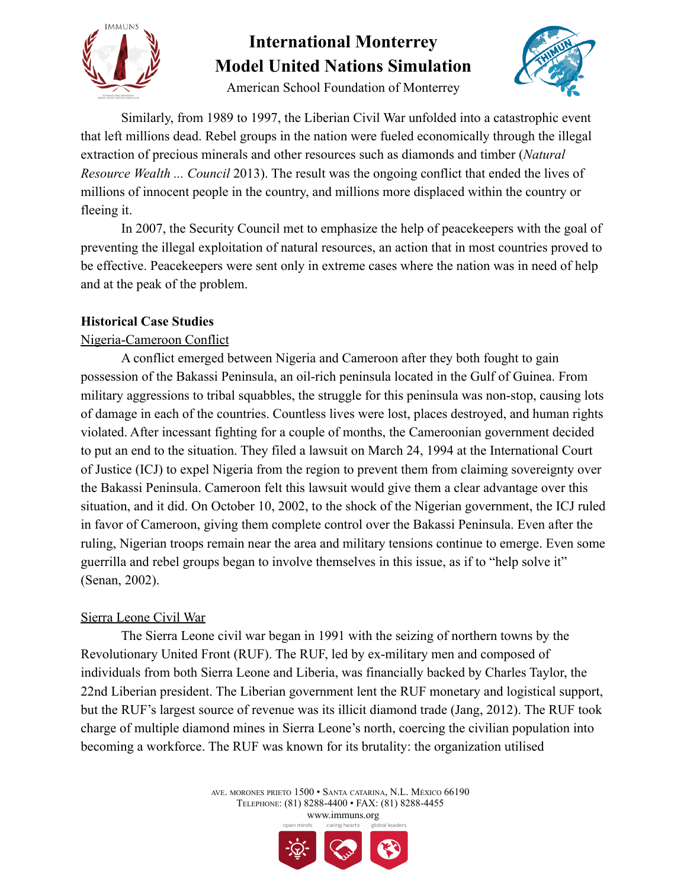

American School Foundation of Monterrey

Similarly, from 1989 to 1997, the Liberian Civil War unfolded into a catastrophic event that left millions dead. Rebel groups in the nation were fueled economically through the illegal extraction of precious minerals and other resources such as diamonds and timber (*Natural Resource Wealth ... Council* 2013). The result was the ongoing conflict that ended the lives of millions of innocent people in the country, and millions more displaced within the country or fleeing it.

In 2007, the Security Council met to emphasize the help of peacekeepers with the goal of preventing the illegal exploitation of natural resources, an action that in most countries proved to be effective. Peacekeepers were sent only in extreme cases where the nation was in need of help and at the peak of the problem.

### **Historical Case Studies**

### Nigeria-Cameroon Conflict

A conflict emerged between Nigeria and Cameroon after they both fought to gain possession of the Bakassi Peninsula, an oil-rich peninsula located in the Gulf of Guinea. From military aggressions to tribal squabbles, the struggle for this peninsula was non-stop, causing lots of damage in each of the countries. Countless lives were lost, places destroyed, and human rights violated. After incessant fighting for a couple of months, the Cameroonian government decided to put an end to the situation. They filed a lawsuit on March 24, 1994 at the International Court of Justice (ICJ) to expel Nigeria from the region to prevent them from claiming sovereignty over the Bakassi Peninsula. Cameroon felt this lawsuit would give them a clear advantage over this situation, and it did. On October 10, 2002, to the shock of the Nigerian government, the ICJ ruled in favor of Cameroon, giving them complete control over the Bakassi Peninsula. Even after the ruling, Nigerian troops remain near the area and military tensions continue to emerge. Even some guerrilla and rebel groups began to involve themselves in this issue, as if to "help solve it" (Senan, 2002).

### Sierra Leone Civil War

The Sierra Leone civil war began in 1991 with the seizing of northern towns by the Revolutionary United Front (RUF). The RUF, led by ex-military men and composed of individuals from both Sierra Leone and Liberia, was financially backed by Charles Taylor, the 22nd Liberian president. The Liberian government lent the RUF monetary and logistical support, but the RUF's largest source of revenue was its illicit diamond trade (Jang, 2012). The RUF took charge of multiple diamond mines in Sierra Leone's north, coercing the civilian population into becoming a workforce. The RUF was known for its brutality: the organization utilised

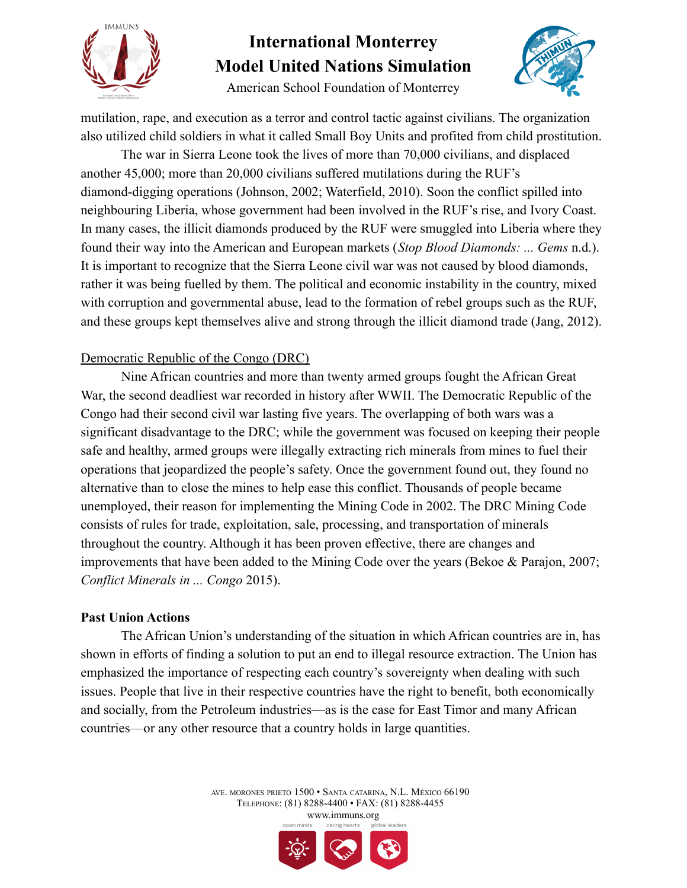



American School Foundation of Monterrey

mutilation, rape, and execution as a terror and control tactic against civilians. The organization also utilized child soldiers in what it called Small Boy Units and profited from child prostitution.

The war in Sierra Leone took the lives of more than 70,000 civilians, and displaced another 45,000; more than 20,000 civilians suffered mutilations during the RUF's diamond-digging operations (Johnson, 2002; Waterfield, 2010). Soon the conflict spilled into neighbouring Liberia, whose government had been involved in the RUF's rise, and Ivory Coast. In many cases, the illicit diamonds produced by the RUF were smuggled into Liberia where they found their way into the American and European markets (*Stop Blood Diamonds: ... Gems* n.d.). It is important to recognize that the Sierra Leone civil war was not caused by blood diamonds, rather it was being fuelled by them. The political and economic instability in the country, mixed with corruption and governmental abuse, lead to the formation of rebel groups such as the RUF, and these groups kept themselves alive and strong through the illicit diamond trade (Jang, 2012).

### Democratic Republic of the Congo (DRC)

Nine African countries and more than twenty armed groups fought the African Great War, the second deadliest war recorded in history after WWII. The Democratic Republic of the Congo had their second civil war lasting five years. The overlapping of both wars was a significant disadvantage to the DRC; while the government was focused on keeping their people safe and healthy, armed groups were illegally extracting rich minerals from mines to fuel their operations that jeopardized the people's safety. Once the government found out, they found no alternative than to close the mines to help ease this conflict. Thousands of people became unemployed, their reason for implementing the Mining Code in 2002. The DRC Mining Code consists of rules for trade, exploitation, sale, processing, and transportation of minerals throughout the country. Although it has been proven effective, there are changes and improvements that have been added to the Mining Code over the years (Bekoe & Parajon, 2007; *Conflict Minerals in ... Congo* 2015).

### **Past Union Actions**

The African Union's understanding of the situation in which African countries are in, has shown in efforts of finding a solution to put an end to illegal resource extraction. The Union has emphasized the importance of respecting each country's sovereignty when dealing with such issues. People that live in their respective countries have the right to benefit, both economically and socially, from the Petroleum industries—as is the case for East Timor and many African countries—or any other resource that a country holds in large quantities.

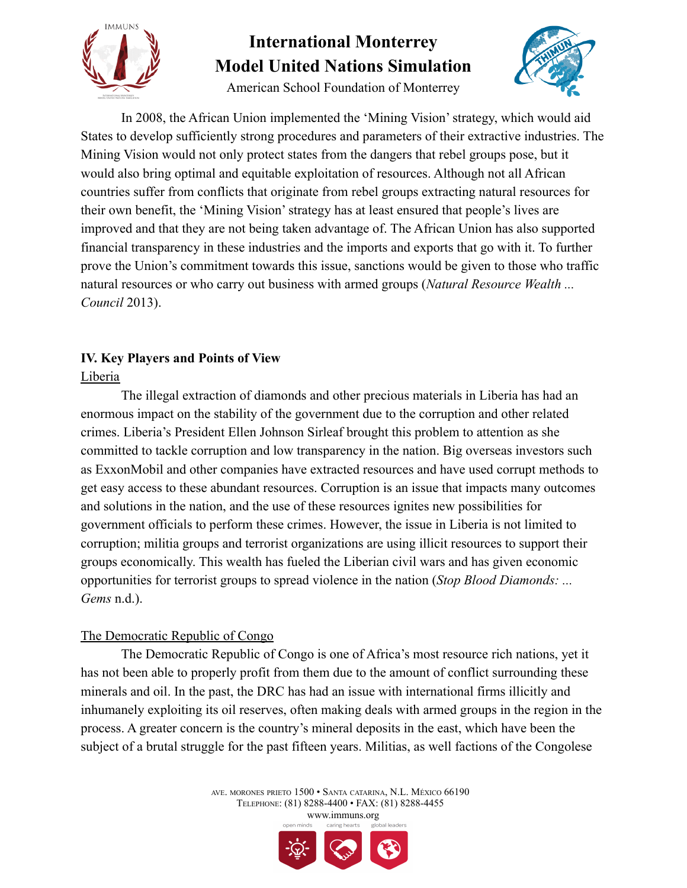

American School Foundation of Monterrey



In 2008, the African Union implemented the 'Mining Vision' strategy, which would aid States to develop sufficiently strong procedures and parameters of their extractive industries. The Mining Vision would not only protect states from the dangers that rebel groups pose, but it would also bring optimal and equitable exploitation of resources. Although not all African countries suffer from conflicts that originate from rebel groups extracting natural resources for their own benefit, the 'Mining Vision' strategy has at least ensured that people's lives are improved and that they are not being taken advantage of. The African Union has also supported financial transparency in these industries and the imports and exports that go with it. To further prove the Union's commitment towards this issue, sanctions would be given to those who traffic natural resources or who carry out business with armed groups (*Natural Resource Wealth ... Council* 2013).

### **IV. Key Players and Points of View** Liberia

The illegal extraction of diamonds and other precious materials in Liberia has had an enormous impact on the stability of the government due to the corruption and other related crimes. Liberia's President Ellen Johnson Sirleaf brought this problem to attention as she committed to tackle corruption and low transparency in the nation. Big overseas investors such as ExxonMobil and other companies have extracted resources and have used corrupt methods to get easy access to these abundant resources. Corruption is an issue that impacts many outcomes and solutions in the nation, and the use of these resources ignites new possibilities for government officials to perform these crimes. However, the issue in Liberia is not limited to corruption; militia groups and terrorist organizations are using illicit resources to support their groups economically. This wealth has fueled the Liberian civil wars and has given economic opportunities for terrorist groups to spread violence in the nation (*Stop Blood Diamonds: ... Gems* n.d.).

### The Democratic Republic of Congo

The Democratic Republic of Congo is one of Africa's most resource rich nations, yet it has not been able to properly profit from them due to the amount of conflict surrounding these minerals and oil. In the past, the DRC has had an issue with international firms illicitly and inhumanely exploiting its oil reserves, often making deals with armed groups in the region in the process. A greater concern is the country's mineral deposits in the east, which have been the subject of a brutal struggle for the past fifteen years. Militias, as well factions of the Congolese

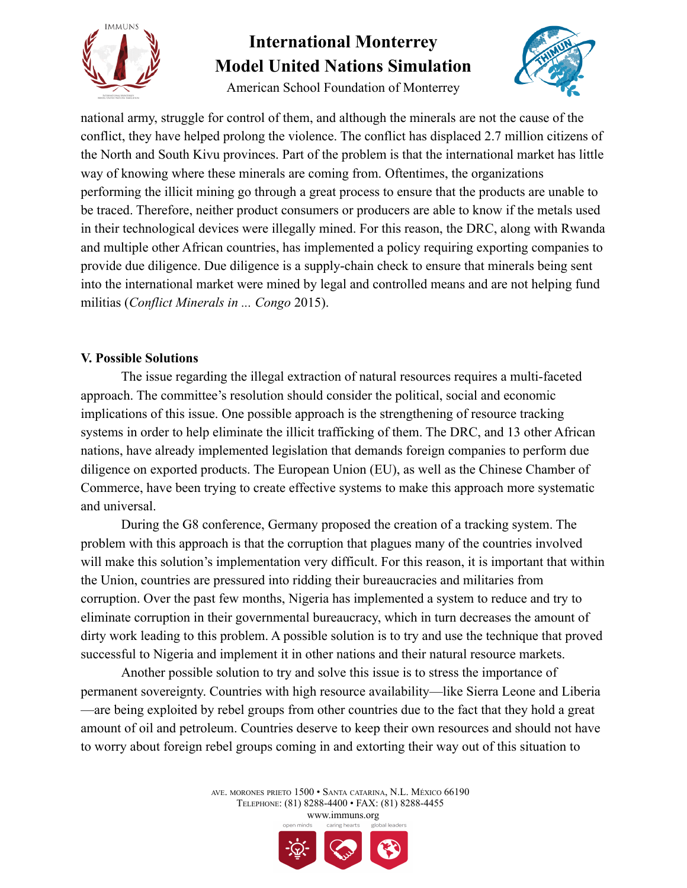

American School Foundation of Monterrey



national army, struggle for control of them, and although the minerals are not the cause of the conflict, they have helped prolong the violence. The conflict has displaced 2.7 million citizens of the North and South Kivu provinces. Part of the problem is that the international market has little way of knowing where these minerals are coming from. Oftentimes, the organizations performing the illicit mining go through a great process to ensure that the products are unable to be traced. Therefore, neither product consumers or producers are able to know if the metals used in their technological devices were illegally mined. For this reason, the DRC, along with Rwanda and multiple other African countries, has implemented a policy requiring exporting companies to provide due diligence. Due diligence is a supply-chain check to ensure that minerals being sent into the international market were mined by legal and controlled means and are not helping fund militias (*Conflict Minerals in ... Congo* 2015).

### **V. Possible Solutions**

The issue regarding the illegal extraction of natural resources requires a multi-faceted approach. The committee's resolution should consider the political, social and economic implications of this issue. One possible approach is the strengthening of resource tracking systems in order to help eliminate the illicit trafficking of them. The DRC, and 13 other African nations, have already implemented legislation that demands foreign companies to perform due diligence on exported products. The European Union (EU), as well as the Chinese Chamber of Commerce, have been trying to create effective systems to make this approach more systematic and universal.

During the G8 conference, Germany proposed the creation of a tracking system. The problem with this approach is that the corruption that plagues many of the countries involved will make this solution's implementation very difficult. For this reason, it is important that within the Union, countries are pressured into ridding their bureaucracies and militaries from corruption. Over the past few months, Nigeria has implemented a system to reduce and try to eliminate corruption in their governmental bureaucracy, which in turn decreases the amount of dirty work leading to this problem. A possible solution is to try and use the technique that proved successful to Nigeria and implement it in other nations and their natural resource markets.

Another possible solution to try and solve this issue is to stress the importance of permanent sovereignty. Countries with high resource availability—like Sierra Leone and Liberia —are being exploited by rebel groups from other countries due to the fact that they hold a great amount of oil and petroleum. Countries deserve to keep their own resources and should not have to worry about foreign rebel groups coming in and extorting their way out of this situation to

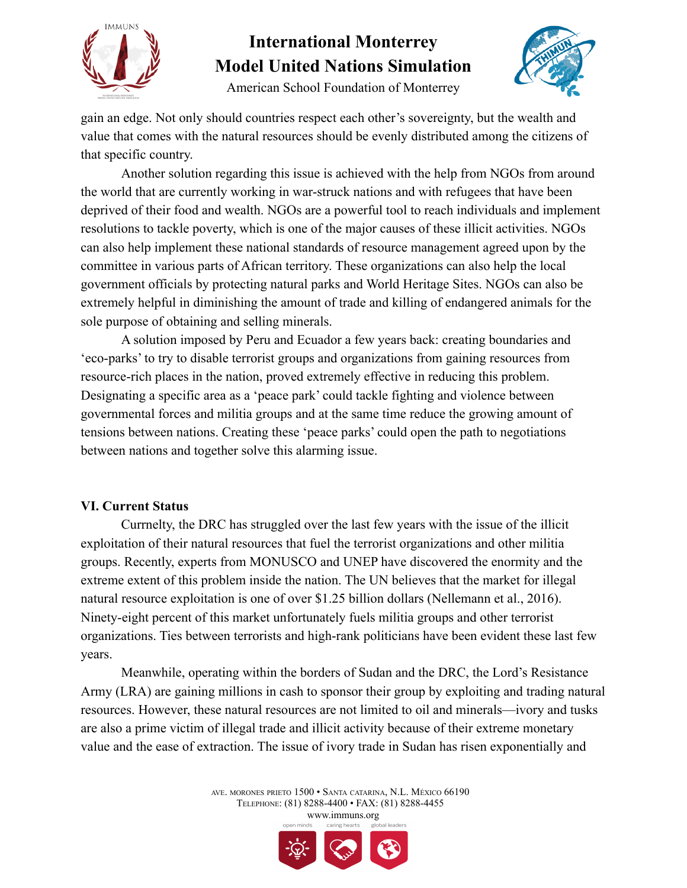



American School Foundation of Monterrey

gain an edge. Not only should countries respect each other's sovereignty, but the wealth and value that comes with the natural resources should be evenly distributed among the citizens of that specific country.

Another solution regarding this issue is achieved with the help from NGOs from around the world that are currently working in war-struck nations and with refugees that have been deprived of their food and wealth. NGOs are a powerful tool to reach individuals and implement resolutions to tackle poverty, which is one of the major causes of these illicit activities. NGOs can also help implement these national standards of resource management agreed upon by the committee in various parts of African territory. These organizations can also help the local government officials by protecting natural parks and World Heritage Sites. NGOs can also be extremely helpful in diminishing the amount of trade and killing of endangered animals for the sole purpose of obtaining and selling minerals.

A solution imposed by Peru and Ecuador a few years back: creating boundaries and 'eco-parks' to try to disable terrorist groups and organizations from gaining resources from resource-rich places in the nation, proved extremely effective in reducing this problem. Designating a specific area as a 'peace park' could tackle fighting and violence between governmental forces and militia groups and at the same time reduce the growing amount of tensions between nations. Creating these 'peace parks' could open the path to negotiations between nations and together solve this alarming issue.

### **VI. Current Status**

Currnelty, the DRC has struggled over the last few years with the issue of the illicit exploitation of their natural resources that fuel the terrorist organizations and other militia groups. Recently, experts from MONUSCO and UNEP have discovered the enormity and the extreme extent of this problem inside the nation. The UN believes that the market for illegal natural resource exploitation is one of over \$1.25 billion dollars (Nellemann et al., 2016). Ninety-eight percent of this market unfortunately fuels militia groups and other terrorist organizations. Ties between terrorists and high-rank politicians have been evident these last few years.

Meanwhile, operating within the borders of Sudan and the DRC, the Lord's Resistance Army (LRA) are gaining millions in cash to sponsor their group by exploiting and trading natural resources. However, these natural resources are not limited to oil and minerals—ivory and tusks are also a prime victim of illegal trade and illicit activity because of their extreme monetary value and the ease of extraction. The issue of ivory trade in Sudan has risen exponentially and

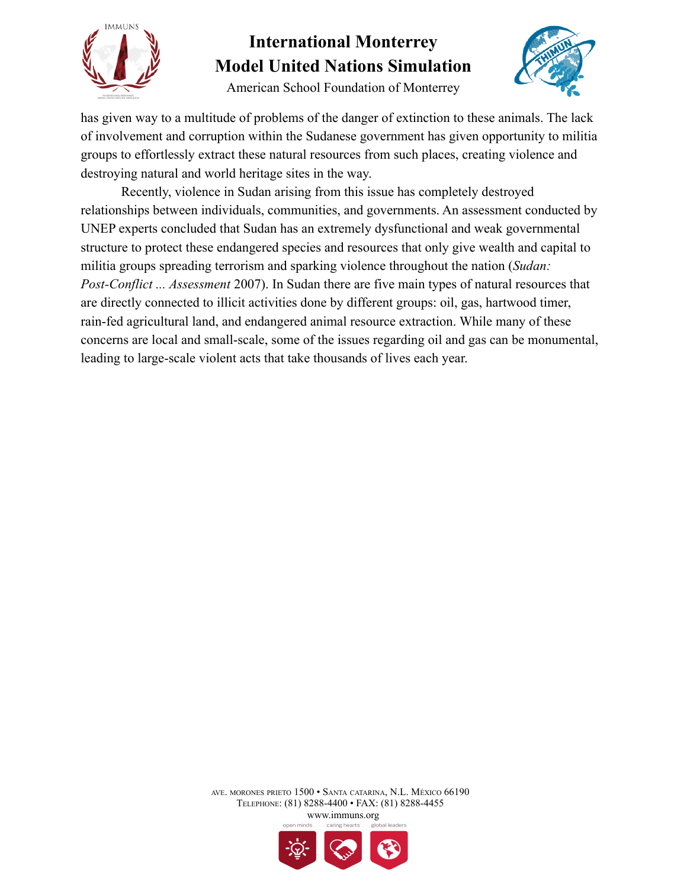

American School Foundation of Monterrey



has given way to a multitude of problems of the danger of extinction to these animals. The lack of involvement and corruption within the Sudanese government has given opportunity to militia groups to effortlessly extract these natural resources from such places, creating violence and destroying natural and world heritage sites in the way.

Recently, violence in Sudan arising from this issue has completely destroyed relationships between individuals, communities, and governments. An assessment conducted by UNEP experts concluded that Sudan has an extremely dysfunctional and weak governmental structure to protect these endangered species and resources that only give wealth and capital to militia groups spreading terrorism and sparking violence throughout the nation (*Sudan: Post-Conflict ... Assessment* 2007). In Sudan there are five main types of natural resources that are directly connected to illicit activities done by different groups: oil, gas, hartwood timer, rain-fed agricultural land, and endangered animal resource extraction. While many of these concerns are local and small-scale, some of the issues regarding oil and gas can be monumental, leading to large-scale violent acts that take thousands of lives each year.

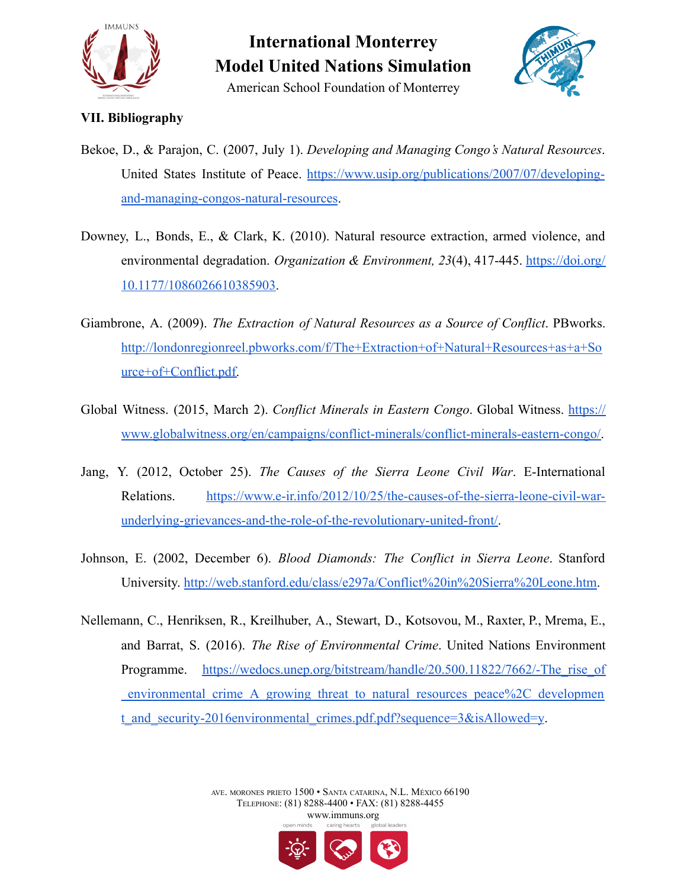



American School Foundation of Monterrey

### **VII. Bibliography**

- Bekoe, D., & Parajon, C. (2007, July 1). *Developing and Managing Congo's Natural Resources*. United States Institute of Peace. [https://www.usip.org/publications/2007/07/developing](https://www.usip.org/publications/2007/07/developing-and-managing-congos-natural-resources)[and-managing-congos-natural-resources](https://www.usip.org/publications/2007/07/developing-and-managing-congos-natural-resources).
- Downey, L., Bonds, E., & Clark, K. (2010). Natural resource extraction, armed violence, and environmental degradation. *Organization & Environment, 23*(4), 417-445. [https://doi.org/](https://doi.org/10.1177/1086026610385903) [10.1177/1086026610385903.](https://doi.org/10.1177/1086026610385903)
- Giambrone, A. (2009). *The Extraction of Natural Resources as a Source of Conflict*. PBworks. [http://londonregionreel.pbworks.com/f/The+Extraction+of+Natural+Resources+as+a+So](http://londonregionreel.pbworks.com/f/The+Extraction+of+Natural+Resources+as+a+Source+of+Conflict.pdf) [urce+of+Conflict.pdf.](http://londonregionreel.pbworks.com/f/The+Extraction+of+Natural+Resources+as+a+Source+of+Conflict.pdf)
- Global Witness. (2015, March 2). *Conflict Minerals in Eastern Congo*. Global Witness. [https://](https://www.globalwitness.org/en/campaigns/conflict-minerals/conflict-minerals-eastern-congo/) [www.globalwitness.org/en/campaigns/conflict-minerals/conflict-minerals-eastern-congo/.](http://www.globalwitness.org/en/campaigns/conflict-minerals/conflict-minerals-eastern-congo/)
- Jang, Y. (2012, October 25). *The Causes of the Sierra Leone Civil War*. E-International Relations. [https://www.e-ir.info/2012/10/25/the-causes-of-the-sierra-leone-civil-war](https://www.e-ir.info/2012/10/25/the-causes-of-the-sierra-leone-civil-war-underlying-grievances-and-the-role-of-the-revolutionary-united-front/)[underlying-grievances-and-the-role-of-the-revolutionary-united-front/.](https://www.e-ir.info/2012/10/25/the-causes-of-the-sierra-leone-civil-war-underlying-grievances-and-the-role-of-the-revolutionary-united-front/)
- Johnson, E. (2002, December 6). *Blood Diamonds: The Conflict in Sierra Leone*. Stanford University. <http://web.stanford.edu/class/e297a/Conflict%20in%20Sierra%20Leone.htm>.
- Nellemann, C., Henriksen, R., Kreilhuber, A., Stewart, D., Kotsovou, M., Raxter, P., Mrema, E., and Barrat, S. (2016). *The Rise of Environmental Crime*. United Nations Environment Programme. https://wedocs.unep.org/bitstream/handle/20.500.11822/7662/-The rise of environmental crime A growing threat to natural resources peace%2C developmen t and security-2016environmental crimes.pdf.pdf?sequence=3&isAllowed=y.